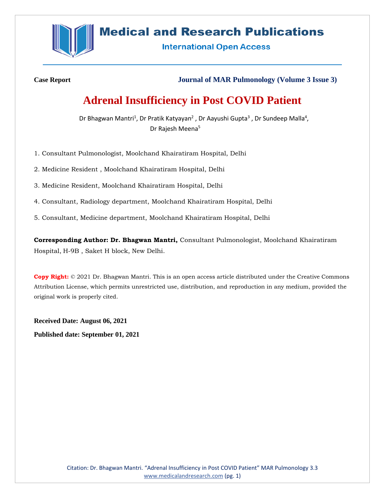

## **Medical and Research Publications**

**International Open Access** 

**Case Report Journal of MAR Pulmonology (Volume 3 Issue 3)**

# **Adrenal Insufficiency in Post COVID Patient**

Dr Bhagwan Mantri<sup>1</sup>, Dr Pratik Katyayan<sup>2</sup>, Dr Aayushi Gupta<sup>3</sup>, Dr Sundeep Malla<sup>4</sup>, Dr Rajesh Meena<sup>5</sup>

1. Consultant Pulmonologist, Moolchand Khairatiram Hospital, Delhi

2. Medicine Resident , Moolchand Khairatiram Hospital, Delhi

3. Medicine Resident, Moolchand Khairatiram Hospital, Delhi

4. Consultant, Radiology department, Moolchand Khairatiram Hospital, Delhi

5. Consultant, Medicine department, Moolchand Khairatiram Hospital, Delhi

**Corresponding Author: Dr. Bhagwan Mantri,** Consultant Pulmonologist, Moolchand Khairatiram Hospital, H-9B , Saket H block, New Delhi.

**Copy Right:** © 2021 Dr. Bhagwan Mantri. This is an open access article distributed under the Creative Commons Attribution License, which permits unrestricted use, distribution, and reproduction in any medium, provided the original work is properly cited.

**Received Date: August 06, 2021 Published date: September 01, 2021**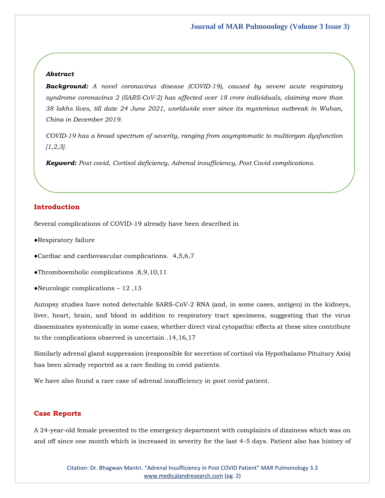### *Abstract*

*Background: A novel coronavirus disease (COVID-19), caused by severe acute respiratory syndrome coronavirus 2 (SARS-CoV-2) has affected over 18 crore individuals, claiming more than 38 lakhs lives, till date 24 June 2021, worldwide ever since its mysterious outbreak in Wuhan, China in December 2019.* 

*COVID-19 has a broad spectrum of severity, ranging from asymptomatic to multiorgan dysfunction [1,2,3].*

*Keyword: Post covid, Cortisol deficiency, Adrenal insufficiency, Post Covid complications.*

### **Introduction**

Several complications of COVID-19 already have been described in

- ●Respiratory failure
- ●Cardiac and cardiovascular complications. 4,5,6,7
- ●Thromboembolic complications .8,9,10,11
- ●Neurologic complications 12 ,13

Autopsy studies have noted detectable SARS-CoV-2 RNA (and, in some cases, antigen) in the kidneys, liver, heart, brain, and blood in addition to respiratory tract specimens, suggesting that the virus disseminates systemically in some cases; whether direct viral cytopathic effects at these sites contribute to the complications observed is uncertain .14,16,17

Similarly adrenal gland suppression (responsible for secretion of cortisol via Hypothalamo Pituitary Axis) has been already reported as a rare finding in covid patients.

We have also found a rare case of adrenal insufficiency in post covid patient.

### **Case Reports**

A 24-year-old female presented to the emergency department with complaints of dizziness which was on and off since one month which is increased in severity for the last 4-5 days. Patient also has history of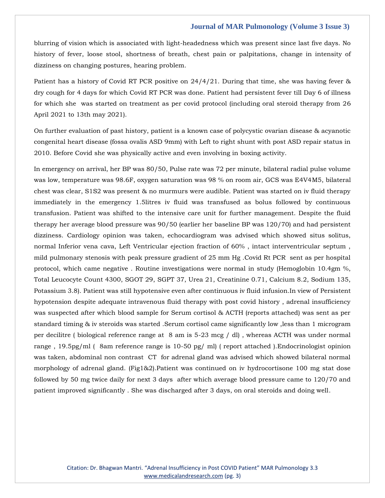blurring of vision which is associated with light-headedness which was present since last five days. No history of fever, loose stool, shortness of breath, chest pain or palpitations, change in intensity of dizziness on changing postures, hearing problem.

Patient has a history of Covid RT PCR positive on 24/4/21. During that time, she was having fever & dry cough for 4 days for which Covid RT PCR was done. Patient had persistent fever till Day 6 of illness for which she was started on treatment as per covid protocol (including oral steroid therapy from 26 April 2021 to 13th may 2021).

On further evaluation of past history, patient is a known case of polycystic ovarian disease & acyanotic congenital heart disease (fossa ovalis ASD 9mm) with Left to right shunt with post ASD repair status in 2010. Before Covid she was physically active and even involving in boxing activity.

In emergency on arrival, her BP was 80/50, Pulse rate was 72 per minute, bilateral radial pulse volume was low, temperature was 98.6F, oxygen saturation was 98 % on room air, GCS was E4V4M5, bilateral chest was clear, S1S2 was present & no murmurs were audible. Patient was started on iv fluid therapy immediately in the emergency 1.5litres iv fluid was transfused as bolus followed by continuous transfusion. Patient was shifted to the intensive care unit for further management. Despite the fluid therapy her average blood pressure was 90/50 (earlier her baseline BP was 120/70) and had persistent dizziness. Cardiology opinion was taken, echocardiogram was advised which showed situs solitus, normal Inferior vena cava, Left Ventricular ejection fraction of 60% , intact interventricular septum , mild pulmonary stenosis with peak pressure gradient of 25 mm Hg .Covid Rt PCR sent as per hospital protocol, which came negative . Routine investigations were normal in study (Hemoglobin 10.4gm %, Total Leucocyte Count 4300, SGOT 29, SGPT 37, Urea 21, Creatinine 0.71, Calcium 8.2, Sodium 135, Potassium 3.8). Patient was still hypotensive even after continuous iv fluid infusion.In view of Persistent hypotension despite adequate intravenous fluid therapy with post covid history , adrenal insufficiency was suspected after which blood sample for Serum cortisol & ACTH (reports attached) was sent as per standard timing & iv steroids was started .Serum cortisol came significantly low ,less than 1 microgram per decilitre ( biological reference range at 8 am is 5-23 mcg / dl) , whereas ACTH was under normal range , 19.5pg/ml ( 8am reference range is 10-50 pg/ ml) ( report attached ).Endocrinologist opinion was taken, abdominal non contrast CT for adrenal gland was advised which showed bilateral normal morphology of adrenal gland. (Fig1&2).Patient was continued on iv hydrocortisone 100 mg stat dose followed by 50 mg twice daily for next 3 days after which average blood pressure came to 120/70 and patient improved significantly . She was discharged after 3 days, on oral steroids and doing well.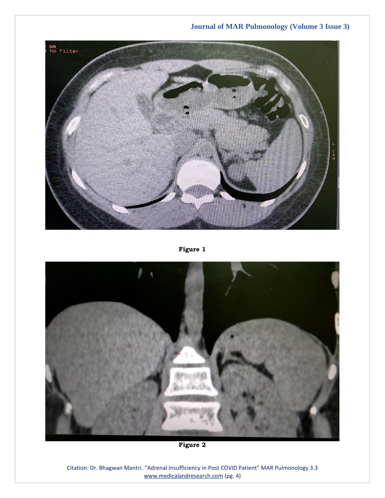

**Figure 1**



**Figure 2**

Citation: Dr. Bhagwan Mantri. "Adrenal Insufficiency in Post COVID Patient" MAR Pulmonology 3.3 [www.medicalandresearch.com](http://www.medicalandresearch.com/) (pg. 4)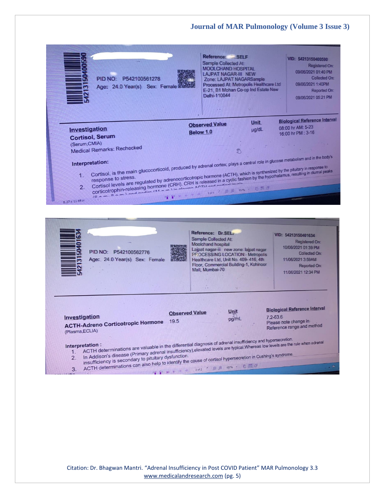| PID NO: P542100561278<br>Age: 24.0 Year(s) Sex: Female d                                                                                                                                                                                                    | Reference: SELF<br><b>Sample Collected At:</b><br><b>MOOLCHAND HOSPITAL</b><br><b>LAJPAT NAGAR-III NEW</b><br>Zone: LAJPAT NAGARSample<br>Processed At: Metropolis Healthcare Ltd<br>E-21, B1 Mohan Co-op Ind Estate New<br>Delhi-110044                    | VID: 54213150400590<br>Registered On:<br>09/06/2021 01:40 PM<br>Collected On:<br>09/06/2021 1:40PM<br>Reported On:<br>09/06/2021 05:21 PM |
|-------------------------------------------------------------------------------------------------------------------------------------------------------------------------------------------------------------------------------------------------------------|-------------------------------------------------------------------------------------------------------------------------------------------------------------------------------------------------------------------------------------------------------------|-------------------------------------------------------------------------------------------------------------------------------------------|
|                                                                                                                                                                                                                                                             | <b>Unit</b><br><b>Observed Value</b>                                                                                                                                                                                                                        | <b>Biological Reference Interval</b>                                                                                                      |
| Investigation                                                                                                                                                                                                                                               | µg/dL<br><b>Below 1.0</b>                                                                                                                                                                                                                                   | 08:00 hr AM: 5-23<br>16:00 hr PM : 3-16                                                                                                   |
| <b>Cortisol, Serum</b>                                                                                                                                                                                                                                      |                                                                                                                                                                                                                                                             |                                                                                                                                           |
| (Serum, CMIA)                                                                                                                                                                                                                                               |                                                                                                                                                                                                                                                             |                                                                                                                                           |
| <b>Medical Remarks: Rechecked</b>                                                                                                                                                                                                                           | <b>ES</b>                                                                                                                                                                                                                                                   |                                                                                                                                           |
| Interpretation:                                                                                                                                                                                                                                             |                                                                                                                                                                                                                                                             |                                                                                                                                           |
| Cortisol, is the main glucocorticoid, produced by adrenal cortex; plays a central role in glucose metabolism and in the body's<br>Cortisol levels are regulated by adrenocorticotropic hormone (ACTH), which is synthesized by the pituitary in response to |                                                                                                                                                                                                                                                             |                                                                                                                                           |
| Cortison revers are regulated by adjectived incorresponding (ACTH), which is synthesized by the pitulary in response to<br>corticotrophin-releasing hormone (CRH). CRH is released in a cyclic fashion by the hypothalamus, resul<br>1.                     |                                                                                                                                                                                                                                                             |                                                                                                                                           |
| WHOUTOPHIPPORADITY HOMINIC (UNT). UNTISTERASED III & CYCIIC 185<br>16 nm 0 nm 1 and podiso (44 nm 1 in alanma ACTLI and podisol lavale                                                                                                                      |                                                                                                                                                                                                                                                             |                                                                                                                                           |
| 2.                                                                                                                                                                                                                                                          | GPRAM 1011 . DD 1574 . BEG                                                                                                                                                                                                                                  |                                                                                                                                           |
| 8.27 x 11.69 in                                                                                                                                                                                                                                             |                                                                                                                                                                                                                                                             |                                                                                                                                           |
|                                                                                                                                                                                                                                                             |                                                                                                                                                                                                                                                             |                                                                                                                                           |
| PID NO: P542100562776<br>Age: 24.0 Year(s) Sex: Female                                                                                                                                                                                                      | Reference: Dr.SEL<br>Sample Collected At:<br>Moolchand hospital<br>Lajpat nagar-iii new zone: lajpat nagar<br><b>PROCESSING LOCATION:- Metropolis</b><br>Healthcare Ltd, Unit No. 409-416, 4th<br>Floor, Commercial Building-1, Kohinoor<br>Mall, Mumbai-70 | VID: 54213150401634<br>Registered On:<br>10/06/2021 01:39 PM<br>Collected On:<br>11/06/2021 3:59AM<br>Reported On:<br>11/06/2021 12:34 PM |
|                                                                                                                                                                                                                                                             |                                                                                                                                                                                                                                                             |                                                                                                                                           |
|                                                                                                                                                                                                                                                             |                                                                                                                                                                                                                                                             | <b>Biological Reference Interval</b>                                                                                                      |
|                                                                                                                                                                                                                                                             |                                                                                                                                                                                                                                                             |                                                                                                                                           |
|                                                                                                                                                                                                                                                             | Unit<br><b>Observed Value</b>                                                                                                                                                                                                                               |                                                                                                                                           |
| Investigation<br>19.5                                                                                                                                                                                                                                       | pg/mL                                                                                                                                                                                                                                                       | $7.2 - 63.6$                                                                                                                              |
| <b>ACTH-Adreno Corticotropic Hormone</b>                                                                                                                                                                                                                    |                                                                                                                                                                                                                                                             | Please note change in<br>Reference range and method                                                                                       |
| (Plasma, ECLIA)                                                                                                                                                                                                                                             |                                                                                                                                                                                                                                                             |                                                                                                                                           |
|                                                                                                                                                                                                                                                             |                                                                                                                                                                                                                                                             |                                                                                                                                           |
| ACTH determinations are valuable in the differential diagnosis of adrenal insufficiency and hypersecretion.<br>Interpretation :<br>1.                                                                                                                       |                                                                                                                                                                                                                                                             |                                                                                                                                           |
| In Addison's disease (Primary adrenal insufficiency), elevated levels are typical. Whereas low levels are the rule when adrenal<br>ACTH determinations can also help to identify the cause of cortisol hypersecretion in Cushing's syndrome.<br>2.          | 9 PK + > > 2012 : 0 0 1576 - 0 FB                                                                                                                                                                                                                           |                                                                                                                                           |

Citation: Dr. Bhagwan Mantri. "Adrenal Insufficiency in Post COVID Patient" MAR Pulmonology 3.3 [www.medicalandresearch.com](http://www.medicalandresearch.com/) (pg. 5)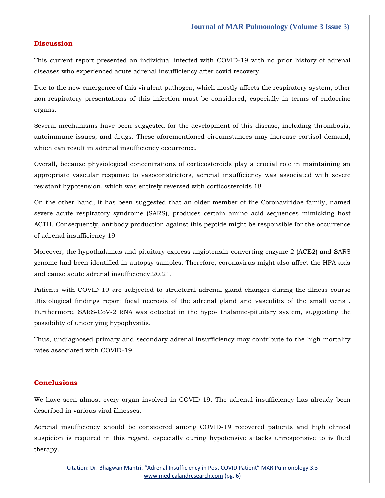### **Discussion**

This current report presented an individual infected with COVID-19 with no prior history of adrenal diseases who experienced acute adrenal insufficiency after covid recovery.

Due to the new emergence of this virulent pathogen, which mostly affects the respiratory system, other non-respiratory presentations of this infection must be considered, especially in terms of endocrine organs.

Several mechanisms have been suggested for the development of this disease, including thrombosis, autoimmune issues, and drugs. These aforementioned circumstances may increase cortisol demand, which can result in adrenal insufficiency occurrence.

Overall, because physiological concentrations of corticosteroids play a crucial role in maintaining an appropriate vascular response to vasoconstrictors, adrenal insufficiency was associated with severe resistant hypotension, which was entirely reversed with corticosteroids 18

On the other hand, it has been suggested that an older member of the Coronaviridae family, named severe acute respiratory syndrome (SARS), produces certain amino acid sequences mimicking host ACTH. Consequently, antibody production against this peptide might be responsible for the occurrence of adrenal insufficiency 19

Moreover, the hypothalamus and pituitary express angiotensin-converting enzyme 2 (ACE2) and SARS genome had been identified in autopsy samples. Therefore, coronavirus might also affect the HPA axis and cause acute adrenal insufficiency.20,21.

Patients with COVID-19 are subjected to structural adrenal gland changes during the illness course .Histological findings report focal necrosis of the adrenal gland and vasculitis of the small veins . Furthermore, SARS-CoV-2 RNA was detected in the hypo- thalamic-pituitary system, suggesting the possibility of underlying hypophysitis.

Thus, undiagnosed primary and secondary adrenal insufficiency may contribute to the high mortality rates associated with COVID-19.

### **Conclusions**

We have seen almost every organ involved in COVID-19. The adrenal insufficiency has already been described in various viral illnesses.

Adrenal insufficiency should be considered among COVID-19 recovered patients and high clinical suspicion is required in this regard, especially during hypotensive attacks unresponsive to iv fluid therapy.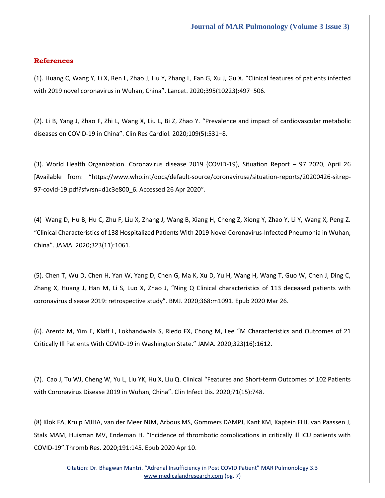### **References**

(1). Huang C, [Wang Y, Li X, Ren L, Zhao J, Hu Y, Zhang L, Fan G, Xu J, Gu X.](https://www.google.com/search?q=Clinical+features+of+patients+infected+with+2019+novel+coronavirus+in+Wuhan%2C+China&rlz=1C1VDKB_enIN952IN952&sxsrf=ALeKk02D9S4UTq-ojne4amuL8bQO3wGhOQ%3A1628491903233&ei=f9AQYZLNDYf0rQH9srLACg&oq=Clinical+features+of+patients+infected+with+2019+novel+coronavirus+in+Wuhan%2C+China&gs_lcp=Cgdnd3Mtd2l6EAM6BwgjEOoCECdKBAhBGABQ0GdY0GdgiWtoAXACeACAAdsBiAHCApIBBTAuMS4xmAEAoAEBoAECsAEKwAEB&sclient=gws-wiz&ved=0ahUKEwjSiKWLraPyAhUHeisKHX2ZDKgQ4dUDCA4&uact=5) "Clinical features of patients infected [with 2019 novel coronavirus in Wuhan, China](https://www.google.com/search?q=Clinical+features+of+patients+infected+with+2019+novel+coronavirus+in+Wuhan%2C+China&rlz=1C1VDKB_enIN952IN952&sxsrf=ALeKk02D9S4UTq-ojne4amuL8bQO3wGhOQ%3A1628491903233&ei=f9AQYZLNDYf0rQH9srLACg&oq=Clinical+features+of+patients+infected+with+2019+novel+coronavirus+in+Wuhan%2C+China&gs_lcp=Cgdnd3Mtd2l6EAM6BwgjEOoCECdKBAhBGABQ0GdY0GdgiWtoAXACeACAAdsBiAHCApIBBTAuMS4xmAEAoAEBoAECsAEKwAEB&sclient=gws-wiz&ved=0ahUKEwjSiKWLraPyAhUHeisKHX2ZDKgQ4dUDCA4&uact=5)". Lancet. 2020;395(10223):497–506.

[\(2\). Li B, Yang J, Zhao F, Zhi L, Wang X, Liu L, Bi Z, Zhao Y.](https://www.google.com/search?q=Prevalence+and+impact+of+cardiovascular+metabolic+diseases+on+COVID-19+in+China&rlz=1C1VDKB_enIN952IN952&sxsrf=ALeKk00SBFmt9QgZdKPrtrRePc2RB1OIFw%3A1628491851988&ei=S9AQYZvWO8eCyAOMiL2QCg&oq=Prevalence+and+impact+of+cardiovascular+metabolic+diseases+on+COVID-19+in+China&gs_lcp=Cgdnd3Mtd2l6EAMyBQgAEIAEOgcIIxDqAhAnSgQIQRgAUNIMWNIMYOwPaAFwAngBgAFuiAFukgEDMC4xmAEBoAEBoAECsAEKwAEB&sclient=gws-wiz&ved=0ahUKEwjbp-3yrKPyAhVHAXIKHQxED6IQ4dUDCA4&uact=5) "Prevalence and impact of cardiovascular metabolic diseases on COVID-19 in China"[. Clin Res Cardiol. 2020;109\(5\):531](https://www.google.com/search?q=Prevalence+and+impact+of+cardiovascular+metabolic+diseases+on+COVID-19+in+China&rlz=1C1VDKB_enIN952IN952&sxsrf=ALeKk00SBFmt9QgZdKPrtrRePc2RB1OIFw%3A1628491851988&ei=S9AQYZvWO8eCyAOMiL2QCg&oq=Prevalence+and+impact+of+cardiovascular+metabolic+diseases+on+COVID-19+in+China&gs_lcp=Cgdnd3Mtd2l6EAMyBQgAEIAEOgcIIxDqAhAnSgQIQRgAUNIMWNIMYOwPaAFwAngBgAFuiAFukgEDMC4xmAEBoAEBoAECsAEKwAEB&sclient=gws-wiz&ved=0ahUKEwjbp-3yrKPyAhVHAXIKHQxED6IQ4dUDCA4&uact=5)–8.

[\(3\). World Health Organization. Coronavirus disease 2019 \(COVID-19\), Situation Report](file:///D:/Proofs/August/(3).%20World%20Health%20Organization.%20Coronavirus%20disease%202019%20(COVID-19),%20Situation%20Report%20–%2097%202020,%20April%2026%20%255bAvailable%20from:) – 97 2020, April 26 [Available from: "[https://www.who.int/docs/default-source/coronaviruse/situation-reports/20200426-sitrep-](file:///D:/Proofs/August/(3).%20World%20Health%20Organization.%20Coronavirus%20disease%202019%20(COVID-19),%20Situation%20Report%20–%2097%202020,%20April%2026%20%255bAvailable%20from:)[97-covid-19.pdf?sfvrsn=d1c3e800\\_6. Accessed 26 Apr 2020](file:///D:/Proofs/August/(3).%20World%20Health%20Organization.%20Coronavirus%20disease%202019%20(COVID-19),%20Situation%20Report%20–%2097%202020,%20April%2026%20%255bAvailable%20from:)".

[\(4\) Wang D, Hu B, Hu C, Zhu F, Liu X, Zhang J, Wang B, Xiang H, Cheng Z, Xiong Y, Zhao Y, Li Y, Wang X, Peng Z.](https://www.google.com/search?q=Clinical+Characteristics+of+138+Hospitalized+Patients+With+2019+Novel+Coronavirus-Infected+Pneumonia+in+Wuhan%2C+China&rlz=1C1VDKB_enIN952IN952&sxsrf=ALeKk01QAs1byGxxWNz44FEA48xZttz4Hg%3A1628491801827&ei=GdAQYZXuMbGd4-EP2J2F0AE&oq=Clinical+Characteristics+of+138+Hospitalized+Patients+With+2019+Novel+Coronavirus-Infected+Pneumonia+in+Wuhan%2C+China&gs_lcp=Cgdnd3Mtd2l6EAMyBwgjEOoCECcyBwgjEOoCECcyBwgjEOoCECcyBwgjEOoCECcyBwgjEOoCECcyBwgjEOoCECcyBwgjEOoCECcyBwgjEOoCECcyBwgjEOoCECcyBwgjEOoCECdKBAhBGABQ8fcCWPH3AmD7-gJoAXACeACAAQCIAQCSAQCYAQGgAQGgAQKwAQrAAQE&sclient=gws-wiz&ved=0ahUKEwjV3vfarKPyAhWxzjgGHdhOARoQ4dUDCA4&uact=5)  "[Clinical Characteristics of 138 Hospitalized Patients With 2019 Novel Coronavirus-Infected Pneumonia in Wuhan,](https://www.google.com/search?q=Clinical+Characteristics+of+138+Hospitalized+Patients+With+2019+Novel+Coronavirus-Infected+Pneumonia+in+Wuhan%2C+China&rlz=1C1VDKB_enIN952IN952&sxsrf=ALeKk01QAs1byGxxWNz44FEA48xZttz4Hg%3A1628491801827&ei=GdAQYZXuMbGd4-EP2J2F0AE&oq=Clinical+Characteristics+of+138+Hospitalized+Patients+With+2019+Novel+Coronavirus-Infected+Pneumonia+in+Wuhan%2C+China&gs_lcp=Cgdnd3Mtd2l6EAMyBwgjEOoCECcyBwgjEOoCECcyBwgjEOoCECcyBwgjEOoCECcyBwgjEOoCECcyBwgjEOoCECcyBwgjEOoCECcyBwgjEOoCECcyBwgjEOoCECcyBwgjEOoCECdKBAhBGABQ8fcCWPH3AmD7-gJoAXACeACAAQCIAQCSAQCYAQGgAQGgAQKwAQrAAQE&sclient=gws-wiz&ved=0ahUKEwjV3vfarKPyAhWxzjgGHdhOARoQ4dUDCA4&uact=5)  China". [JAMA. 2020;323\(11\):1061.](https://www.google.com/search?q=Clinical+Characteristics+of+138+Hospitalized+Patients+With+2019+Novel+Coronavirus-Infected+Pneumonia+in+Wuhan%2C+China&rlz=1C1VDKB_enIN952IN952&sxsrf=ALeKk01QAs1byGxxWNz44FEA48xZttz4Hg%3A1628491801827&ei=GdAQYZXuMbGd4-EP2J2F0AE&oq=Clinical+Characteristics+of+138+Hospitalized+Patients+With+2019+Novel+Coronavirus-Infected+Pneumonia+in+Wuhan%2C+China&gs_lcp=Cgdnd3Mtd2l6EAMyBwgjEOoCECcyBwgjEOoCECcyBwgjEOoCECcyBwgjEOoCECcyBwgjEOoCECcyBwgjEOoCECcyBwgjEOoCECcyBwgjEOoCECcyBwgjEOoCECcyBwgjEOoCECdKBAhBGABQ8fcCWPH3AmD7-gJoAXACeACAAQCIAQCSAQCYAQGgAQGgAQKwAQrAAQE&sclient=gws-wiz&ved=0ahUKEwjV3vfarKPyAhWxzjgGHdhOARoQ4dUDCA4&uact=5)

[\(5\). Chen T, Wu D, Chen H, Yan W, Yang D, Chen G, Ma K, Xu D, Yu H, Wang H, Wang T, Guo W, Chen J, Ding C,](https://www.google.com/search?q=Ning+Q+Clinical+characteristics+of+113+deceased+patients+with+coronavirus+disease+2019%3A+retrospective+study&rlz=1C1VDKB_enIN952IN952&sxsrf=ALeKk01t4kvxItRb7BzdOvyEHf14RHYtaw%3A1628491784590&ei=CNAQYd69I8Oc4-EP2L-pSA&oq=Ning+Q+Clinical+characteristics+of+113+deceased+patients+with+coronavirus+disease+2019%3A+retrospective+study&gs_lcp=Cgdnd3Mtd2l6EAMyBwgjEOoCECcyBwgjEOoCECcyBwgjEOoCECcyBwgjEOoCECcyBwgjEOoCECcyBwgjEOoCECcyBwgjEOoCECcyBwgjEOoCECcyBwgjEOoCECcyBwgjEOoCECdKBAhBGABQ4XVY4XVg3HhoAXACeACAAYMBiAGDAZIBAzAuMZgBAKABAaABArABCsABAQ&sclient=gws-wiz&ved=0ahUKEwje4dvSrKPyAhVDzjgGHdhfCgkQ4dUDCA4&uact=5)  Zhang X, Huang J, Han M, Li S, Luo X, Zhao J, "[Ning Q Clinical characteristics of 113 deceased patients with](https://www.google.com/search?q=Ning+Q+Clinical+characteristics+of+113+deceased+patients+with+coronavirus+disease+2019%3A+retrospective+study&rlz=1C1VDKB_enIN952IN952&sxsrf=ALeKk01t4kvxItRb7BzdOvyEHf14RHYtaw%3A1628491784590&ei=CNAQYd69I8Oc4-EP2L-pSA&oq=Ning+Q+Clinical+characteristics+of+113+deceased+patients+with+coronavirus+disease+2019%3A+retrospective+study&gs_lcp=Cgdnd3Mtd2l6EAMyBwgjEOoCECcyBwgjEOoCECcyBwgjEOoCECcyBwgjEOoCECcyBwgjEOoCECcyBwgjEOoCECcyBwgjEOoCECcyBwgjEOoCECcyBwgjEOoCECcyBwgjEOoCECdKBAhBGABQ4XVY4XVg3HhoAXACeACAAYMBiAGDAZIBAzAuMZgBAKABAaABArABCsABAQ&sclient=gws-wiz&ved=0ahUKEwje4dvSrKPyAhVDzjgGHdhfCgkQ4dUDCA4&uact=5)  [coronavirus disease 2019: retrospective study](https://www.google.com/search?q=Ning+Q+Clinical+characteristics+of+113+deceased+patients+with+coronavirus+disease+2019%3A+retrospective+study&rlz=1C1VDKB_enIN952IN952&sxsrf=ALeKk01t4kvxItRb7BzdOvyEHf14RHYtaw%3A1628491784590&ei=CNAQYd69I8Oc4-EP2L-pSA&oq=Ning+Q+Clinical+characteristics+of+113+deceased+patients+with+coronavirus+disease+2019%3A+retrospective+study&gs_lcp=Cgdnd3Mtd2l6EAMyBwgjEOoCECcyBwgjEOoCECcyBwgjEOoCECcyBwgjEOoCECcyBwgjEOoCECcyBwgjEOoCECcyBwgjEOoCECcyBwgjEOoCECcyBwgjEOoCECcyBwgjEOoCECdKBAhBGABQ4XVY4XVg3HhoAXACeACAAYMBiAGDAZIBAzAuMZgBAKABAaABArABCsABAQ&sclient=gws-wiz&ved=0ahUKEwje4dvSrKPyAhVDzjgGHdhfCgkQ4dUDCA4&uact=5)". BMJ. 2020;368:m1091. Epub 2020 Mar 26.

[\(6\). Arentz M, Yim E, Klaff L, Lokhandwala S, Riedo FX, Chong M, Lee](https://www.google.com/search?q=M+Characteristics+and+Outcomes+of+21+Critically+Ill+Patients+With+COVID-19+in+Washington+State&rlz=1C1VDKB_enIN952IN952&sxsrf=ALeKk03dvCYmq8JUSAkEwxWstSiPIcC_Sw%3A1628491751519&ei=588QYcWRH8WM4-EP2_Sn-Ak&oq=M+Characteristics+and+Outcomes+of+21+Critically+Ill+Patients+With+COVID-19+in+Washington+State&gs_lcp=Cgdnd3Mtd2l6EAM6BwgjEOoCECdKBAhBGABQ5_QBWOf0AWD39wFoAXAAeACAAXiIAe8BkgEDMC4ymAEAoAEBoAECsAEKwAEB&sclient=gws-wiz&ved=0ahUKEwiFofnCrKPyAhVFxjgGHVv6CZ8Q4dUDCA4&uact=5) "M Characteristics and Outcomes of 21 [Critically Ill Patients With COVID-19 in Washington State.](https://www.google.com/search?q=M+Characteristics+and+Outcomes+of+21+Critically+Ill+Patients+With+COVID-19+in+Washington+State&rlz=1C1VDKB_enIN952IN952&sxsrf=ALeKk03dvCYmq8JUSAkEwxWstSiPIcC_Sw%3A1628491751519&ei=588QYcWRH8WM4-EP2_Sn-Ak&oq=M+Characteristics+and+Outcomes+of+21+Critically+Ill+Patients+With+COVID-19+in+Washington+State&gs_lcp=Cgdnd3Mtd2l6EAM6BwgjEOoCECdKBAhBGABQ5_QBWOf0AWD39wFoAXAAeACAAXiIAe8BkgEDMC4ymAEAoAEBoAECsAEKwAEB&sclient=gws-wiz&ved=0ahUKEwiFofnCrKPyAhVFxjgGHVv6CZ8Q4dUDCA4&uact=5)" JAMA. 2020;323(16):1612.

[\(7\). Cao J, Tu WJ, Cheng W, Yu L, Liu YK, Hu X, Liu Q.](https://www.google.com/search?q=Features+and+Short-term+Outcomes+of+102+Patients+with+Coronavirus+Disease+2019+in+Wuhan%2C+China&rlz=1C1VDKB_enIN952IN952&sxsrf=ALeKk00OSi7ABzXpZpCVAIQWF3UBo7JVTQ%3A1628491735217&ei=188QYc7ODNKE4-EP896DmAM&oq=Features+and+Short-term+Outcomes+of+102+Patients+with+Coronavirus+Disease+2019+in+Wuhan%2C+China&gs_lcp=Cgdnd3Mtd2l6EAM6BwgjEOoCECdKBAhBGABQ73NY73NggXdoAXAAeACAAZoBiAGyApIBAzAuMpgBAKABAaABArABCsABAQ&sclient=gws-wiz&ved=0ahUKEwiOlpa7rKPyAhVSwjgGHXPvADMQ4dUDCA4&uact=5) Clinical "Features and Short-term Outcomes of 102 Patients [with Coronavirus Disease 2019 in Wuhan, China](https://www.google.com/search?q=Features+and+Short-term+Outcomes+of+102+Patients+with+Coronavirus+Disease+2019+in+Wuhan%2C+China&rlz=1C1VDKB_enIN952IN952&sxsrf=ALeKk00OSi7ABzXpZpCVAIQWF3UBo7JVTQ%3A1628491735217&ei=188QYc7ODNKE4-EP896DmAM&oq=Features+and+Short-term+Outcomes+of+102+Patients+with+Coronavirus+Disease+2019+in+Wuhan%2C+China&gs_lcp=Cgdnd3Mtd2l6EAM6BwgjEOoCECdKBAhBGABQ73NY73NggXdoAXAAeACAAZoBiAGyApIBAzAuMpgBAKABAaABArABCsABAQ&sclient=gws-wiz&ved=0ahUKEwiOlpa7rKPyAhVSwjgGHXPvADMQ4dUDCA4&uact=5)". Clin Infect Dis. 2020;71(15):748.

[\(8\) Klok FA, Kruip MJHA, van der Meer NJM, Arbous MS, Gommers DAMPJ, Kant KM, Kaptein FHJ, van Paassen J,](https://www.google.com/search?q=Incidence+of+thrombotic+complications+in+critically+ill+ICU+patients+with+COVID-19&rlz=1C1VDKB_enIN952IN952&sxsrf=ALeKk01ue-Fvj0f5FKEZzykr3CKy91Dk_w%3A1628491720401&ei=yM8QYdHmF4OC4-EPsoiR-A4&oq=Incidence+of+thrombotic+complications+in+critically+ill+ICU+patients+with+COVID-19&gs_lcp=Cgdnd3Mtd2l6EAM6BwgjEOoCECdKBAhBGABQ8mVY8mVgpGloAXAAeACAAX-IAeMBkgEDMC4ymAEAoAEBoAECsAEKwAEB&sclient=gws-wiz&ved=0ahUKEwjR6o20rKPyAhUDwTgGHTJEBO8Q4dUDCA4&uact=5)  Stals MAM, Huisman MV, Endeman H. "[Incidence of thrombotic complications in critically ill ICU patients with](https://www.google.com/search?q=Incidence+of+thrombotic+complications+in+critically+ill+ICU+patients+with+COVID-19&rlz=1C1VDKB_enIN952IN952&sxsrf=ALeKk01ue-Fvj0f5FKEZzykr3CKy91Dk_w%3A1628491720401&ei=yM8QYdHmF4OC4-EPsoiR-A4&oq=Incidence+of+thrombotic+complications+in+critically+ill+ICU+patients+with+COVID-19&gs_lcp=Cgdnd3Mtd2l6EAM6BwgjEOoCECdKBAhBGABQ8mVY8mVgpGloAXAAeACAAX-IAeMBkgEDMC4ymAEAoAEBoAECsAEKwAEB&sclient=gws-wiz&ved=0ahUKEwjR6o20rKPyAhUDwTgGHTJEBO8Q4dUDCA4&uact=5)  COVID-19"[.Thromb Res. 2020;191:145. Epub 2020 Apr 10.](https://www.google.com/search?q=Incidence+of+thrombotic+complications+in+critically+ill+ICU+patients+with+COVID-19&rlz=1C1VDKB_enIN952IN952&sxsrf=ALeKk01ue-Fvj0f5FKEZzykr3CKy91Dk_w%3A1628491720401&ei=yM8QYdHmF4OC4-EPsoiR-A4&oq=Incidence+of+thrombotic+complications+in+critically+ill+ICU+patients+with+COVID-19&gs_lcp=Cgdnd3Mtd2l6EAM6BwgjEOoCECdKBAhBGABQ8mVY8mVgpGloAXAAeACAAX-IAeMBkgEDMC4ymAEAoAEBoAECsAEKwAEB&sclient=gws-wiz&ved=0ahUKEwjR6o20rKPyAhUDwTgGHTJEBO8Q4dUDCA4&uact=5)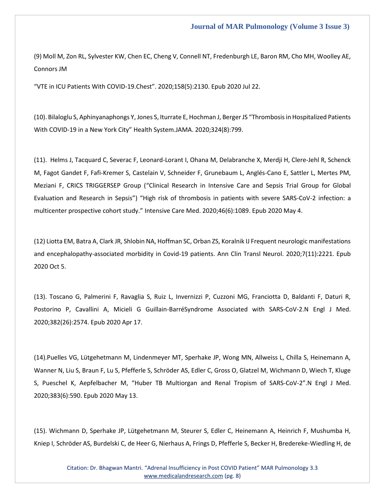[\(9\) Moll M, Zon RL, Sylvester KW, Chen EC, Cheng V, Connell NT, Fredenburgh LE, Baron RM, Cho MH, Woolley AE,](https://www.google.com/search?q=VTE+in+ICU+Patients+With+COVID-19.Chest&rlz=1C1VDKB_enIN952IN952&sxsrf=ALeKk008q8LxFw7XAoM89JCT9H8QA634Dg%3A1628491706773&ei=us8QYYbRLpPH4-EPquyNkAc&oq=VTE+in+ICU+Patients+With+COVID-19.Chest&gs_lcp=Cgdnd3Mtd2l6EAMyCAghEBYQHRAeOgcIIxDqAhAnSgQIQRgAUPRcWPRcYI1gaAFwAHgAgAF8iAH1AZIBAzAuMpgBAKABAaABArABCsABAQ&sclient=gws-wiz&ved=0ahUKEwiGls6trKPyAhWT4zgGHSp2A3IQ4dUDCA4&uact=5)  [Connors JM](https://www.google.com/search?q=VTE+in+ICU+Patients+With+COVID-19.Chest&rlz=1C1VDKB_enIN952IN952&sxsrf=ALeKk008q8LxFw7XAoM89JCT9H8QA634Dg%3A1628491706773&ei=us8QYYbRLpPH4-EPquyNkAc&oq=VTE+in+ICU+Patients+With+COVID-19.Chest&gs_lcp=Cgdnd3Mtd2l6EAMyCAghEBYQHRAeOgcIIxDqAhAnSgQIQRgAUPRcWPRcYI1gaAFwAHgAgAF8iAH1AZIBAzAuMpgBAKABAaABArABCsABAQ&sclient=gws-wiz&ved=0ahUKEwiGls6trKPyAhWT4zgGHSp2A3IQ4dUDCA4&uact=5)

"[VTE in ICU Patients With COVID-19.Chest](https://www.google.com/search?q=VTE+in+ICU+Patients+With+COVID-19.Chest&rlz=1C1VDKB_enIN952IN952&sxsrf=ALeKk008q8LxFw7XAoM89JCT9H8QA634Dg%3A1628491706773&ei=us8QYYbRLpPH4-EPquyNkAc&oq=VTE+in+ICU+Patients+With+COVID-19.Chest&gs_lcp=Cgdnd3Mtd2l6EAMyCAghEBYQHRAeOgcIIxDqAhAnSgQIQRgAUPRcWPRcYI1gaAFwAHgAgAF8iAH1AZIBAzAuMpgBAKABAaABArABCsABAQ&sclient=gws-wiz&ved=0ahUKEwiGls6trKPyAhWT4zgGHSp2A3IQ4dUDCA4&uact=5)". 2020;158(5):2130. Epub 2020 Jul 22.

[\(10\). Bilaloglu S, Aphinyanaphongs Y, Jones S, Iturrate E, Hochman J, Berger JS](https://www.google.com/search?q=Thrombosis+in+Hospitalized+Patients+With+COVID-19+in+a+New+York+City&rlz=1C1VDKB_enIN952IN952&sxsrf=ALeKk03erIsb75VjYM49Vt336oCDzwazSg%3A1628491683931&ei=o88QYeWeOJ6P4-EPgbeEmAs&oq=Thrombosis+in+Hospitalized+Patients+With+COVID-19+in+a+New+York+City&gs_lcp=Cgdnd3Mtd2l6EAM6BwgjEOoCECdKBAhBGABQyXJYyXJg0HVoAXACeACAAW-IAW-SAQMwLjGYAQGgAQGgAQKwAQrAAQE&sclient=gws-wiz&ved=0ahUKEwil_NuirKPyAhWexzgGHYEbAbMQ4dUDCA4&uact=5) "Thrombosis in Hospitalized Patients With COVID-19 in a New York City" [Health System.JAMA. 2020;324\(8\):799.](https://www.google.com/search?q=Thrombosis+in+Hospitalized+Patients+With+COVID-19+in+a+New+York+City&rlz=1C1VDKB_enIN952IN952&sxsrf=ALeKk03erIsb75VjYM49Vt336oCDzwazSg%3A1628491683931&ei=o88QYeWeOJ6P4-EPgbeEmAs&oq=Thrombosis+in+Hospitalized+Patients+With+COVID-19+in+a+New+York+City&gs_lcp=Cgdnd3Mtd2l6EAM6BwgjEOoCECdKBAhBGABQyXJYyXJg0HVoAXACeACAAW-IAW-SAQMwLjGYAQGgAQGgAQKwAQrAAQE&sclient=gws-wiz&ved=0ahUKEwil_NuirKPyAhWexzgGHYEbAbMQ4dUDCA4&uact=5)

[\(11\). Helms J, Tacquard C, Severac F, Leonard-Lorant I, Ohana](https://www.google.com/search?q=High+risk+of+thrombosis+in+patients+with+severe+SARS-CoV-2+infection%3A+a+multicenter+prospective+cohort+study&rlz=1C1VDKB_enIN952IN952&sxsrf=ALeKk03erIsb75VjYM49Vt336oCDzwazSg%3A1628491683931&ei=o88QYeWeOJ6P4-EPgbeEmAs&oq=High+risk+of+thrombosis+in+patients+with+severe+SARS-CoV-2+infection%3A+a+multicenter+prospective+cohort+study&gs_lcp=Cgdnd3Mtd2l6EAxKBAhBGABQAFgAYMUvaABwAngAgAEAiAEAkgEAmAEBwAEB&sclient=gws-wiz&ved=0ahUKEwil_NuirKPyAhWexzgGHYEbAbMQ4dUDCA4) M, Delabranche X, Merdji H, Clere-Jehl R, Schenck [M, Fagot Gandet F, Fafi-Kremer S, Castelain V, Schneider F, Grunebaum L, Anglés-Cano E, Sattler L, Mertes PM,](https://www.google.com/search?q=High+risk+of+thrombosis+in+patients+with+severe+SARS-CoV-2+infection%3A+a+multicenter+prospective+cohort+study&rlz=1C1VDKB_enIN952IN952&sxsrf=ALeKk03erIsb75VjYM49Vt336oCDzwazSg%3A1628491683931&ei=o88QYeWeOJ6P4-EPgbeEmAs&oq=High+risk+of+thrombosis+in+patients+with+severe+SARS-CoV-2+infection%3A+a+multicenter+prospective+cohort+study&gs_lcp=Cgdnd3Mtd2l6EAxKBAhBGABQAFgAYMUvaABwAngAgAEAiAEAkgEAmAEBwAEB&sclient=gws-wiz&ved=0ahUKEwil_NuirKPyAhWexzgGHYEbAbMQ4dUDCA4)  Meziani F, CRICS TRIGGERSEP Group ("[Clinical Research in Intensive Care and Sepsis Trial Group for Global](https://www.google.com/search?q=High+risk+of+thrombosis+in+patients+with+severe+SARS-CoV-2+infection%3A+a+multicenter+prospective+cohort+study&rlz=1C1VDKB_enIN952IN952&sxsrf=ALeKk03erIsb75VjYM49Vt336oCDzwazSg%3A1628491683931&ei=o88QYeWeOJ6P4-EPgbeEmAs&oq=High+risk+of+thrombosis+in+patients+with+severe+SARS-CoV-2+infection%3A+a+multicenter+prospective+cohort+study&gs_lcp=Cgdnd3Mtd2l6EAxKBAhBGABQAFgAYMUvaABwAngAgAEAiAEAkgEAmAEBwAEB&sclient=gws-wiz&ved=0ahUKEwil_NuirKPyAhWexzgGHYEbAbMQ4dUDCA4)  Evaluation and Research in Sepsis") "[High risk of thrombosis in patients with severe SARS-CoV-2 infection: a](https://www.google.com/search?q=High+risk+of+thrombosis+in+patients+with+severe+SARS-CoV-2+infection%3A+a+multicenter+prospective+cohort+study&rlz=1C1VDKB_enIN952IN952&sxsrf=ALeKk03erIsb75VjYM49Vt336oCDzwazSg%3A1628491683931&ei=o88QYeWeOJ6P4-EPgbeEmAs&oq=High+risk+of+thrombosis+in+patients+with+severe+SARS-CoV-2+infection%3A+a+multicenter+prospective+cohort+study&gs_lcp=Cgdnd3Mtd2l6EAxKBAhBGABQAFgAYMUvaABwAngAgAEAiAEAkgEAmAEBwAEB&sclient=gws-wiz&ved=0ahUKEwil_NuirKPyAhWexzgGHYEbAbMQ4dUDCA4)  multicenter prospective cohort study." [Intensive Care Med. 2020;46\(6\):1089. Epub 2020 May 4.](https://www.google.com/search?q=High+risk+of+thrombosis+in+patients+with+severe+SARS-CoV-2+infection%3A+a+multicenter+prospective+cohort+study&rlz=1C1VDKB_enIN952IN952&sxsrf=ALeKk03erIsb75VjYM49Vt336oCDzwazSg%3A1628491683931&ei=o88QYeWeOJ6P4-EPgbeEmAs&oq=High+risk+of+thrombosis+in+patients+with+severe+SARS-CoV-2+infection%3A+a+multicenter+prospective+cohort+study&gs_lcp=Cgdnd3Mtd2l6EAxKBAhBGABQAFgAYMUvaABwAngAgAEAiAEAkgEAmAEBwAEB&sclient=gws-wiz&ved=0ahUKEwil_NuirKPyAhWexzgGHYEbAbMQ4dUDCA4)

[\(12\) Liotta EM, Batra A, Clark JR, Shlobin NA, Hoffman SC, Orban ZS, Koralnik IJ Frequent neurologic manifestations](https://www.google.com/search?q=Frequent+neurologic+manifestations+and+encephalopathy-associated+morbidity+in+Covid-19+patients&rlz=1C1VDKB_enIN952IN952&sxsrf=ALeKk02c10K8SSqhe4GCW889Y4Y4fdpnPw%3A1628491644970&ei=fM8QYZrZOs6X4-EPlJuRsAQ&oq=Frequent+neurologic+manifestations+and+encephalopathy-associated+morbidity+in+Covid-19+patients&gs_lcp=Cgdnd3Mtd2l6EAMyBQgAEIAEOgcIIxDqAhAnSgQIQRgAUMyrAVjMqwFgj68BaAFwAHgAgAGXAYgBmQKSAQMwLjKYAQCgAQGgAQKwAQrAAQE&sclient=gws-wiz&ved=0ahUKEwiah5KQrKPyAhXOyzgGHZRNBEYQ4dUDCA4&uact=5)  [and encephalopathy-associated morbidity in Covid-19 patients.](https://www.google.com/search?q=Frequent+neurologic+manifestations+and+encephalopathy-associated+morbidity+in+Covid-19+patients&rlz=1C1VDKB_enIN952IN952&sxsrf=ALeKk02c10K8SSqhe4GCW889Y4Y4fdpnPw%3A1628491644970&ei=fM8QYZrZOs6X4-EPlJuRsAQ&oq=Frequent+neurologic+manifestations+and+encephalopathy-associated+morbidity+in+Covid-19+patients&gs_lcp=Cgdnd3Mtd2l6EAMyBQgAEIAEOgcIIxDqAhAnSgQIQRgAUMyrAVjMqwFgj68BaAFwAHgAgAGXAYgBmQKSAQMwLjKYAQCgAQGgAQKwAQrAAQE&sclient=gws-wiz&ved=0ahUKEwiah5KQrKPyAhXOyzgGHZRNBEYQ4dUDCA4&uact=5) Ann Clin Transl Neurol. 2020;7(11):2221. Epub [2020 Oct 5.](https://www.google.com/search?q=Frequent+neurologic+manifestations+and+encephalopathy-associated+morbidity+in+Covid-19+patients&rlz=1C1VDKB_enIN952IN952&sxsrf=ALeKk02c10K8SSqhe4GCW889Y4Y4fdpnPw%3A1628491644970&ei=fM8QYZrZOs6X4-EPlJuRsAQ&oq=Frequent+neurologic+manifestations+and+encephalopathy-associated+morbidity+in+Covid-19+patients&gs_lcp=Cgdnd3Mtd2l6EAMyBQgAEIAEOgcIIxDqAhAnSgQIQRgAUMyrAVjMqwFgj68BaAFwAHgAgAGXAYgBmQKSAQMwLjKYAQCgAQGgAQKwAQrAAQE&sclient=gws-wiz&ved=0ahUKEwiah5KQrKPyAhXOyzgGHZRNBEYQ4dUDCA4&uact=5)

[\(13\). Toscano G, Palmerini F, Ravaglia S, Ruiz L, Invernizzi P, Cuzzoni MG, Franciotta D, Baldanti F, Daturi R,](https://www.google.com/search?q=Guillain-Barr%C3%A9Syndrome+Associated+with+SARS-CoV-2&rlz=1C1VDKB_enIN952IN952&sxsrf=ALeKk02Qrk2Hw3uTcztaz117_PJ-XL2bsw%3A1628491622953&ei=Zs8QYfDVObmG4-EP0-iw0A8&oq=Guillain-Barr%C3%A9Syndrome+Associated+with+SARS-CoV-2&gs_lcp=Cgdnd3Mtd2l6EAMyBggAEBYQHjoHCCMQ6gIQJ0oECEEYAFDDnwFYw58BYN2iAWgBcAJ4AIABhQGIAYMCkgEDMC4ymAEAoAEBoAECsAEKwAEB&sclient=gws-wiz&ved=0ahUKEwjwoNKFrKPyAhU5wzgGHVM0DPoQ4dUDCA4&uact=5)  [Postorino P, Cavallini A, Micieli G Guillain-BarréSyndrome Associated with SARS-CoV-2.N Engl J Med.](https://www.google.com/search?q=Guillain-Barr%C3%A9Syndrome+Associated+with+SARS-CoV-2&rlz=1C1VDKB_enIN952IN952&sxsrf=ALeKk02Qrk2Hw3uTcztaz117_PJ-XL2bsw%3A1628491622953&ei=Zs8QYfDVObmG4-EP0-iw0A8&oq=Guillain-Barr%C3%A9Syndrome+Associated+with+SARS-CoV-2&gs_lcp=Cgdnd3Mtd2l6EAMyBggAEBYQHjoHCCMQ6gIQJ0oECEEYAFDDnwFYw58BYN2iAWgBcAJ4AIABhQGIAYMCkgEDMC4ymAEAoAEBoAECsAEKwAEB&sclient=gws-wiz&ved=0ahUKEwjwoNKFrKPyAhU5wzgGHVM0DPoQ4dUDCA4&uact=5)  [2020;382\(26\):2574. Epub 2020 Apr 17.](https://www.google.com/search?q=Guillain-Barr%C3%A9Syndrome+Associated+with+SARS-CoV-2&rlz=1C1VDKB_enIN952IN952&sxsrf=ALeKk02Qrk2Hw3uTcztaz117_PJ-XL2bsw%3A1628491622953&ei=Zs8QYfDVObmG4-EP0-iw0A8&oq=Guillain-Barr%C3%A9Syndrome+Associated+with+SARS-CoV-2&gs_lcp=Cgdnd3Mtd2l6EAMyBggAEBYQHjoHCCMQ6gIQJ0oECEEYAFDDnwFYw58BYN2iAWgBcAJ4AIABhQGIAYMCkgEDMC4ymAEAoAEBoAECsAEKwAEB&sclient=gws-wiz&ved=0ahUKEwjwoNKFrKPyAhU5wzgGHVM0DPoQ4dUDCA4&uact=5)

[\(14\).Puelles VG, Lütgehetmann M, Lindenmeyer MT, Sperhake JP, Wong MN, Allweiss L, Chilla S, Heinemann A,](https://www.google.com/search?q=Huber+TB+Multiorgan+and+Renal+Tropism+of+SARS-CoV-2&rlz=1C1VDKB_enIN952IN952&sxsrf=ALeKk008z6yuEIV2USFcjnFRCmmtfeDjOw%3A1628491605325&ei=Vc8QYYOYE_z0juMPxdmPgAY&oq=Huber+TB+Multiorgan+and+Renal+Tropism+of+SARS-CoV-2&gs_lcp=Cgdnd3Mtd2l6EAM6BwgjEOoCECdKBAhBGABQ_3tY_3tg0H9oAXAAeACAAeUBiAH8ApIBBTAuMS4xmAEAoAEBoAECsAEKwAEB&sclient=gws-wiz&ved=0ahUKEwjDlp79q6PyAhV8umMGHcXsA2AQ4dUDCA4&uact=5)  [Wanner N, Liu S, Braun F, Lu S, Pfefferle S, Schröder AS, Edler C, Gross O, Glatzel M, Wichmann D, Wiech T, Kluge](https://www.google.com/search?q=Huber+TB+Multiorgan+and+Renal+Tropism+of+SARS-CoV-2&rlz=1C1VDKB_enIN952IN952&sxsrf=ALeKk008z6yuEIV2USFcjnFRCmmtfeDjOw%3A1628491605325&ei=Vc8QYYOYE_z0juMPxdmPgAY&oq=Huber+TB+Multiorgan+and+Renal+Tropism+of+SARS-CoV-2&gs_lcp=Cgdnd3Mtd2l6EAM6BwgjEOoCECdKBAhBGABQ_3tY_3tg0H9oAXAAeACAAeUBiAH8ApIBBTAuMS4xmAEAoAEBoAECsAEKwAEB&sclient=gws-wiz&ved=0ahUKEwjDlp79q6PyAhV8umMGHcXsA2AQ4dUDCA4&uact=5)  S, Pueschel K, Aepfelbacher M, "[Huber TB Multiorgan and Renal Tropism of SARS-CoV-2](https://www.google.com/search?q=Huber+TB+Multiorgan+and+Renal+Tropism+of+SARS-CoV-2&rlz=1C1VDKB_enIN952IN952&sxsrf=ALeKk008z6yuEIV2USFcjnFRCmmtfeDjOw%3A1628491605325&ei=Vc8QYYOYE_z0juMPxdmPgAY&oq=Huber+TB+Multiorgan+and+Renal+Tropism+of+SARS-CoV-2&gs_lcp=Cgdnd3Mtd2l6EAM6BwgjEOoCECdKBAhBGABQ_3tY_3tg0H9oAXAAeACAAeUBiAH8ApIBBTAuMS4xmAEAoAEBoAECsAEKwAEB&sclient=gws-wiz&ved=0ahUKEwjDlp79q6PyAhV8umMGHcXsA2AQ4dUDCA4&uact=5)".N Engl J Med. [2020;383\(6\):590. Epub 2020 May 13.](https://www.google.com/search?q=Huber+TB+Multiorgan+and+Renal+Tropism+of+SARS-CoV-2&rlz=1C1VDKB_enIN952IN952&sxsrf=ALeKk008z6yuEIV2USFcjnFRCmmtfeDjOw%3A1628491605325&ei=Vc8QYYOYE_z0juMPxdmPgAY&oq=Huber+TB+Multiorgan+and+Renal+Tropism+of+SARS-CoV-2&gs_lcp=Cgdnd3Mtd2l6EAM6BwgjEOoCECdKBAhBGABQ_3tY_3tg0H9oAXAAeACAAeUBiAH8ApIBBTAuMS4xmAEAoAEBoAECsAEKwAEB&sclient=gws-wiz&ved=0ahUKEwjDlp79q6PyAhV8umMGHcXsA2AQ4dUDCA4&uact=5)

(15). Wichmann D, [Sperhake JP, Lütgehetmann M, Steurer S, Edler C, Heinemann A, Heinrich F, Mushumba H,](https://www.google.com/search?q=Autopsy+Findings+and+Venous+Thromboembolism+in+Patients+With+COVID-19%3A+A+Prospective+Cohort+Study&rlz=1C1VDKB_enIN952IN952&sxsrf=ALeKk01VioBoHhHb1MXY2Ts1FuGZkpmHDw%3A1628491584415&ei=QM8QYYOSGNTE4-EPgrGOmAk&oq=Autopsy+Findings+and+Venous+Thromboembolism+in+Patients+With+COVID-19%3A+A+Prospective+Cohort+Study&gs_lcp=Cgdnd3Mtd2l6EAM6BwgjEOoCECdKBAhBGABQpJMBWKSTAWDelgFoAXACeACAAY4BiAGaApIBAzAuMpgBAKABAaABArABCsABAQ&sclient=gws-wiz&ved=0ahUKEwiDsqHzq6PyAhVU4jgGHYKYA5MQ4dUDCA4&uact=5)  [Kniep I, Schröder AS, Burdelski C, de Heer G, Nierhaus A, Frings D, Pfefferle S, Becker H, Bredereke-Wiedling H, de](https://www.google.com/search?q=Autopsy+Findings+and+Venous+Thromboembolism+in+Patients+With+COVID-19%3A+A+Prospective+Cohort+Study&rlz=1C1VDKB_enIN952IN952&sxsrf=ALeKk01VioBoHhHb1MXY2Ts1FuGZkpmHDw%3A1628491584415&ei=QM8QYYOSGNTE4-EPgrGOmAk&oq=Autopsy+Findings+and+Venous+Thromboembolism+in+Patients+With+COVID-19%3A+A+Prospective+Cohort+Study&gs_lcp=Cgdnd3Mtd2l6EAM6BwgjEOoCECdKBAhBGABQpJMBWKSTAWDelgFoAXACeACAAY4BiAGaApIBAzAuMpgBAKABAaABArABCsABAQ&sclient=gws-wiz&ved=0ahUKEwiDsqHzq6PyAhVU4jgGHYKYA5MQ4dUDCA4&uact=5)